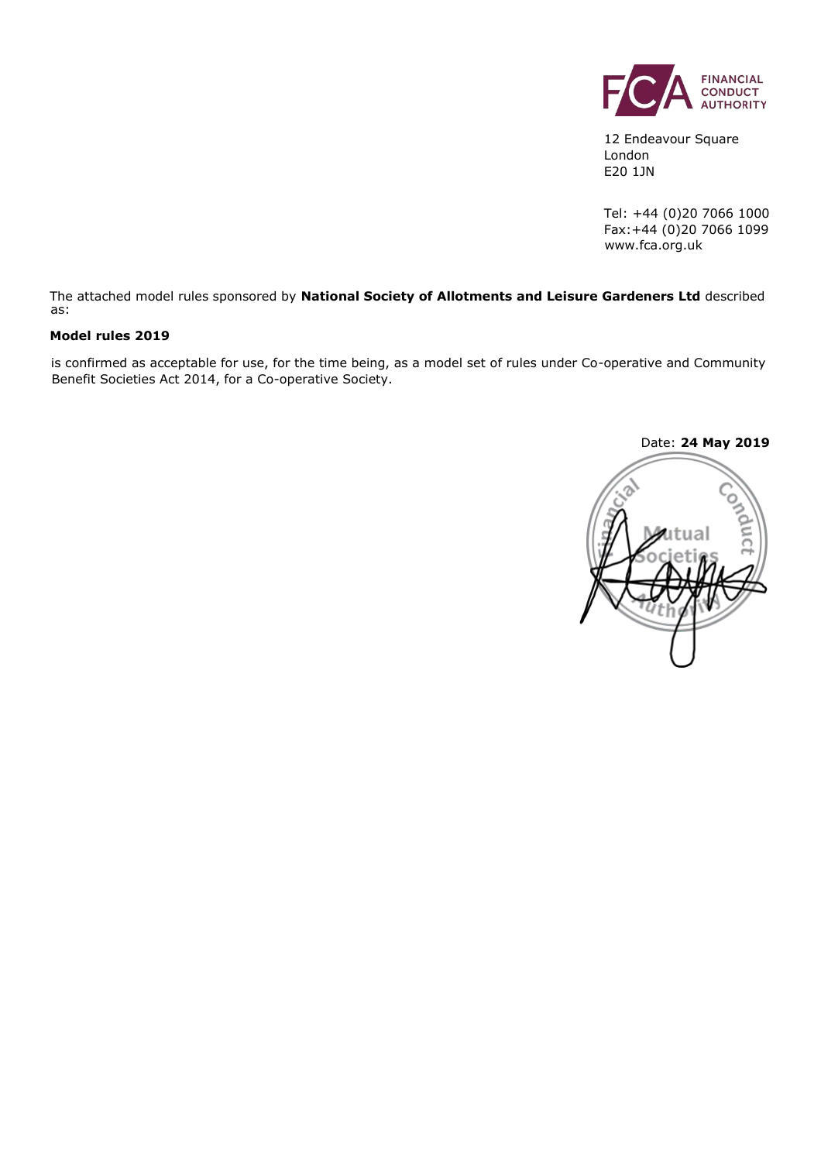

12 Endeavour Square London E20 1JN

Tel: +44 (0)20 7066 1000 Fax:+44 (0)20 7066 1099 www.fca.org.uk

The attached model rules sponsored by **National Society of Allotments and Leisure Gardeners Ltd** described as:

#### **Model rules 2019**

is confirmed as acceptable for use, for the time being, as a model set of rules under Co-operative and Community Benefit Societies Act 2014, for a Co-operative Society.

Date: **24 May 2019**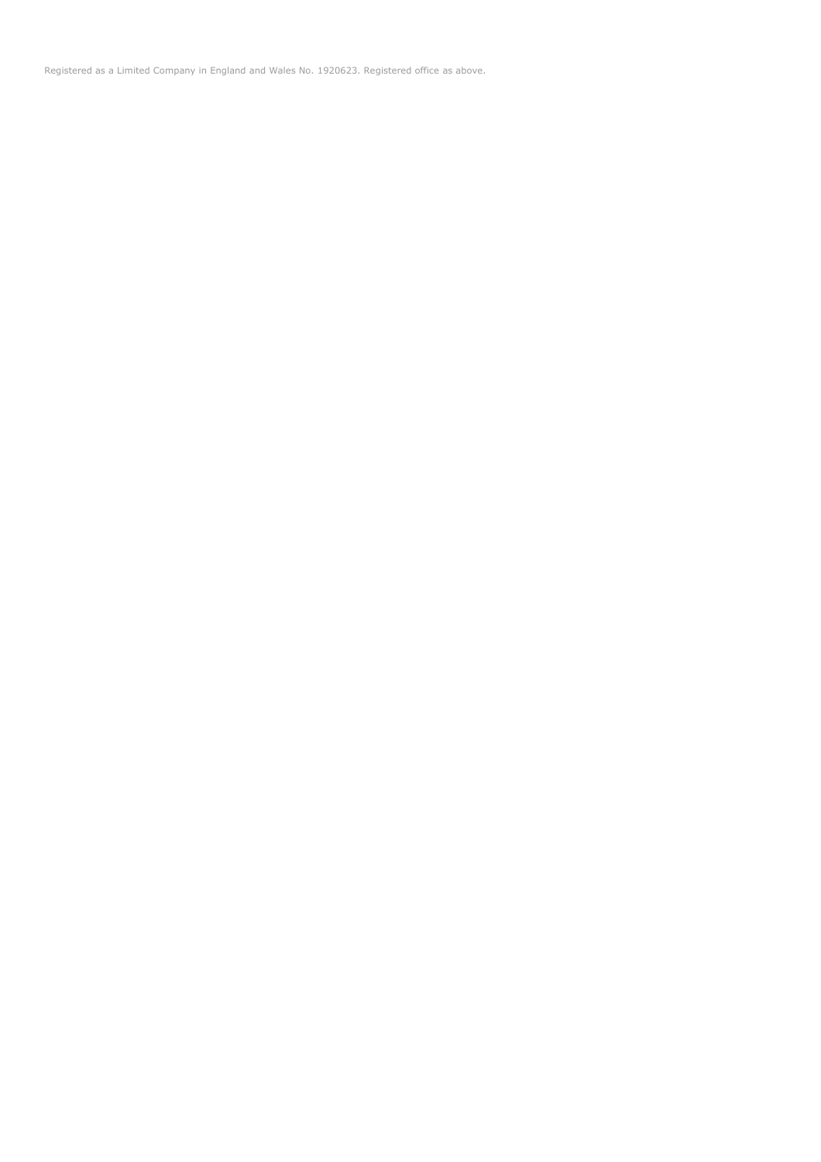Registered as a Limited Company in England and Wales No. 1920623. Registered office as above.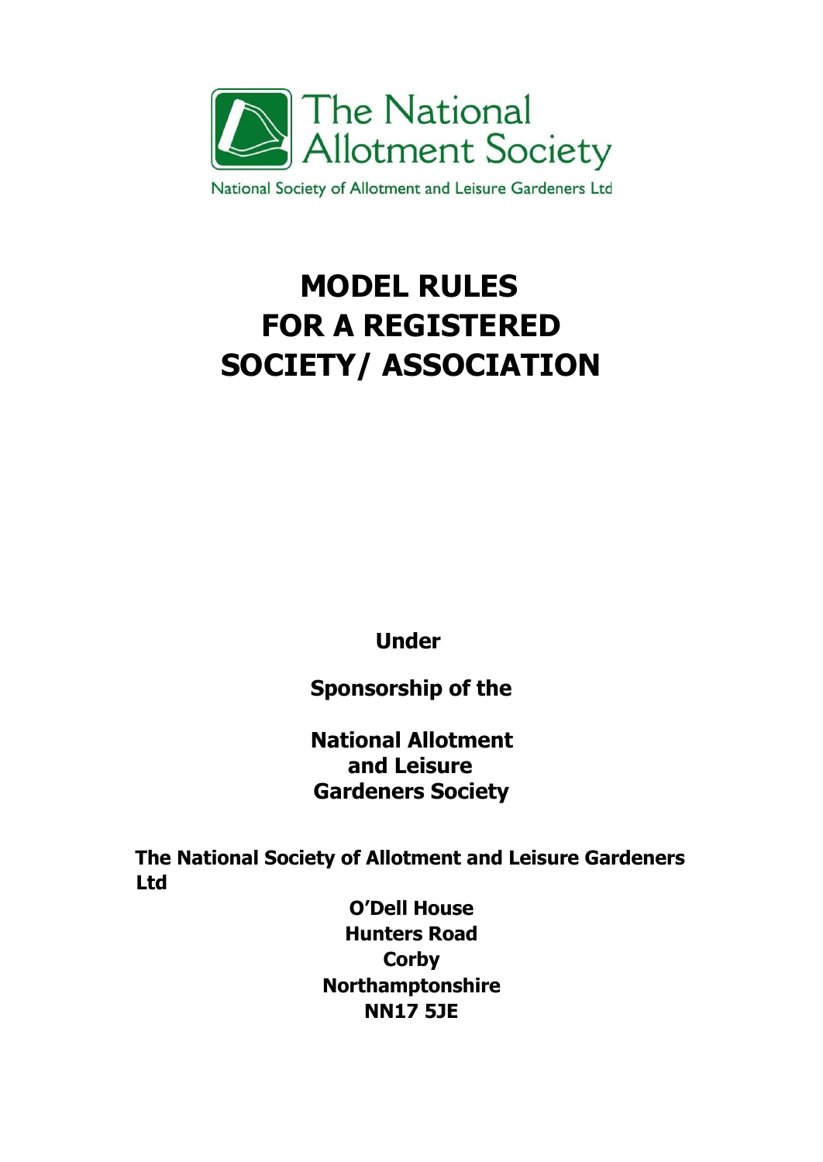

National Society of Allotment and Leisure Gardeners Ltd

# **MODEL RULES FOR A REGISTERED SOCIETY/ ASSOCIATION**

**Under** 

**Sponsorship of the**

**National Allotment and Leisure Gardeners Society** 

**The National Society of Allotment and Leisure Gardeners Ltd**

> **O'Dell House Hunters Road Corby Northamptonshire NN17 5JE**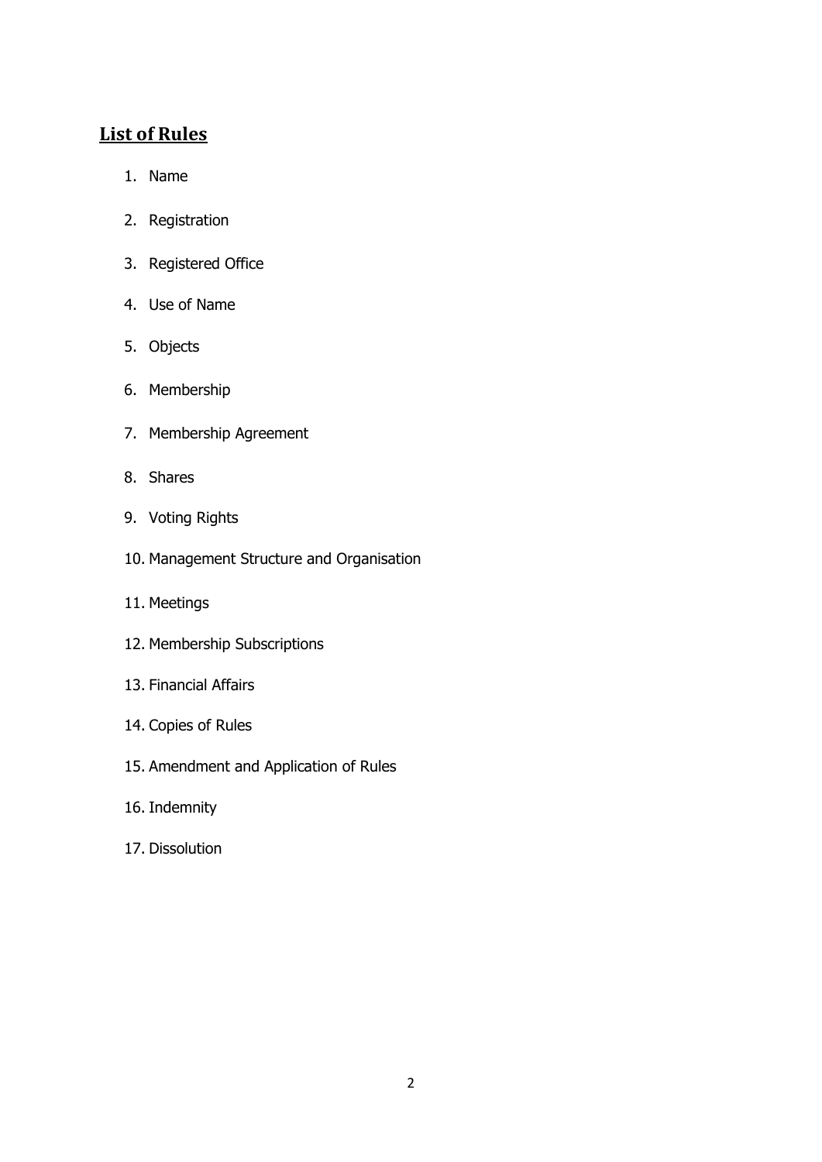# **List of Rules**

- 1. Name
- 2. Registration
- 3. Registered Office
- 4. Use of Name
- 5. Objects
- 6. Membership
- 7. Membership Agreement
- 8. Shares
- 9. Voting Rights
- 10. Management Structure and Organisation
- 11. Meetings
- 12. Membership Subscriptions
- 13. Financial Affairs
- 14. Copies of Rules
- 15. Amendment and Application of Rules
- 16. Indemnity
- 17. Dissolution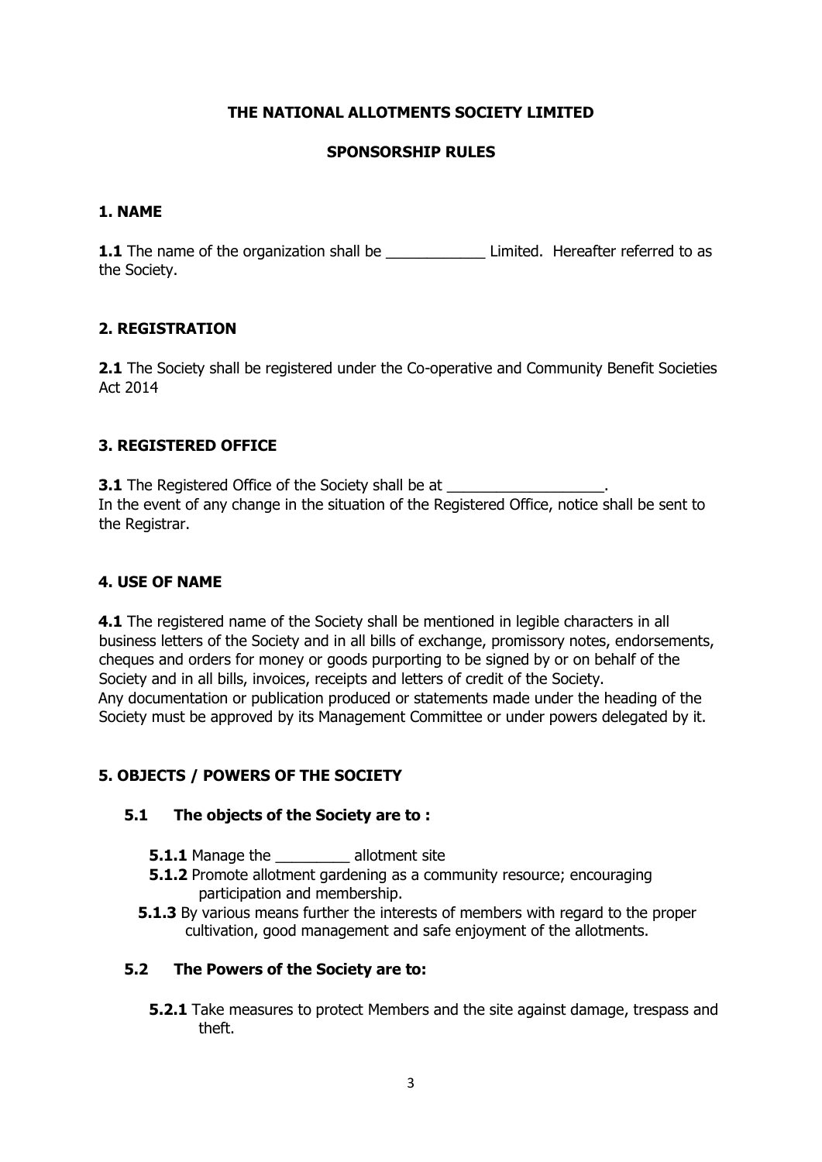# **THE NATIONAL ALLOTMENTS SOCIETY LIMITED**

# **SPONSORSHIP RULES**

#### **1. NAME**

**1.1** The name of the organization shall be **Limited.** Hereafter referred to as the Society.

# **2. REGISTRATION**

**2.1** The Society shall be registered under the Co-operative and Community Benefit Societies Act 2014

#### **3. REGISTERED OFFICE**

**3.1** The Registered Office of the Society shall be at In the event of any change in the situation of the Registered Office, notice shall be sent to the Registrar.

#### **4. USE OF NAME**

**4.1** The registered name of the Society shall be mentioned in legible characters in all business letters of the Society and in all bills of exchange, promissory notes, endorsements, cheques and orders for money or goods purporting to be signed by or on behalf of the Society and in all bills, invoices, receipts and letters of credit of the Society. Any documentation or publication produced or statements made under the heading of the Society must be approved by its Management Committee or under powers delegated by it.

# **5. OBJECTS / POWERS OF THE SOCIETY**

# **5.1 The objects of the Society are to :**

- **5.1.1** Manage the **allotment site**
- **5.1.2** Promote allotment gardening as a community resource; encouraging participation and membership.
- **5.1.3** By various means further the interests of members with regard to the proper cultivation, good management and safe enjoyment of the allotments.

#### **5.2 The Powers of the Society are to:**

**5.2.1** Take measures to protect Members and the site against damage, trespass and theft.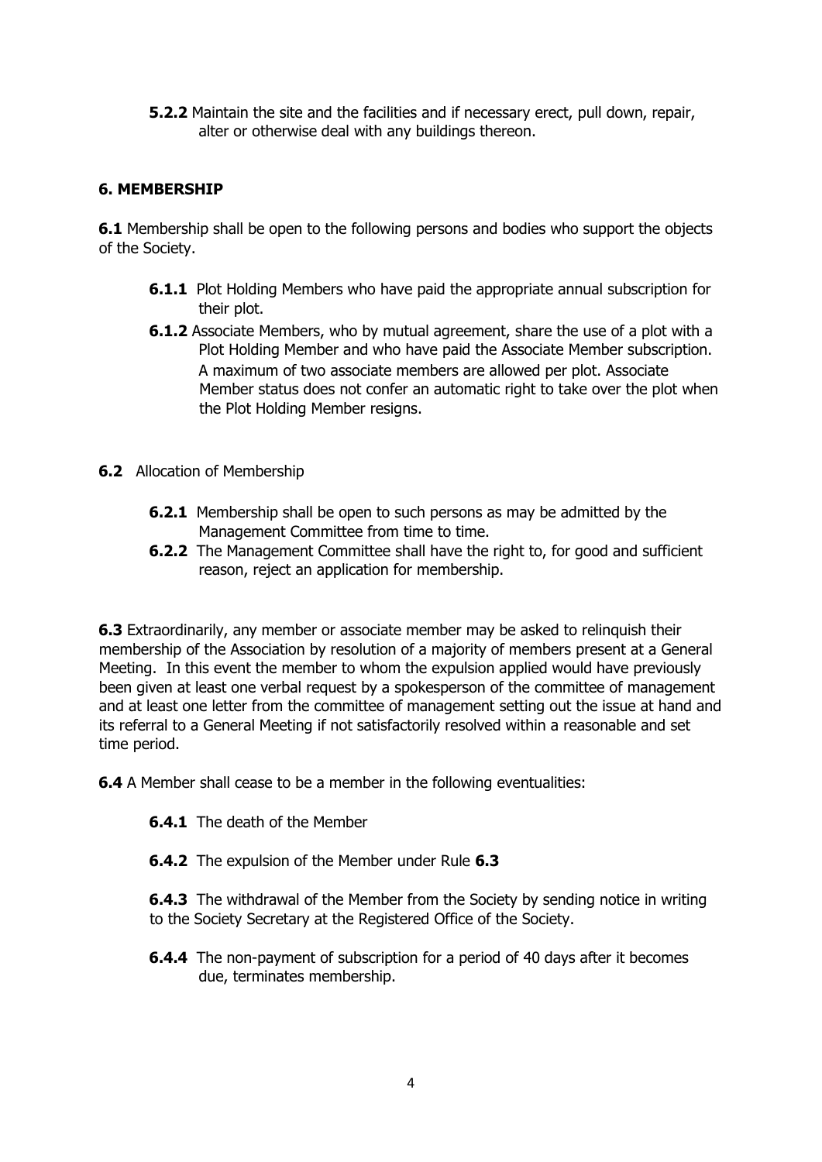**5.2.2** Maintain the site and the facilities and if necessary erect, pull down, repair, alter or otherwise deal with any buildings thereon.

# **6. MEMBERSHIP**

**6.1** Membership shall be open to the following persons and bodies who support the objects of the Society.

- **6.1.1** Plot Holding Members who have paid the appropriate annual subscription for their plot.
- **6.1.2** Associate Members, who by mutual agreement, share the use of a plot with a Plot Holding Member and who have paid the Associate Member subscription. A maximum of two associate members are allowed per plot. Associate Member status does not confer an automatic right to take over the plot when the Plot Holding Member resigns.
- **6.2** Allocation of Membership
	- **6.2.1** Membership shall be open to such persons as may be admitted by the Management Committee from time to time.
	- **6.2.2** The Management Committee shall have the right to, for good and sufficient reason, reject an application for membership.

**6.3** Extraordinarily, any member or associate member may be asked to relinquish their membership of the Association by resolution of a majority of members present at a General Meeting. In this event the member to whom the expulsion applied would have previously been given at least one verbal request by a spokesperson of the committee of management and at least one letter from the committee of management setting out the issue at hand and its referral to a General Meeting if not satisfactorily resolved within a reasonable and set time period.

**6.4** A Member shall cease to be a member in the following eventualities:

- **6.4.1** The death of the Member
- **6.4.2** The expulsion of the Member under Rule **6.3**

**6.4.3** The withdrawal of the Member from the Society by sending notice in writing to the Society Secretary at the Registered Office of the Society.

**6.4.4** The non-payment of subscription for a period of 40 days after it becomes due, terminates membership.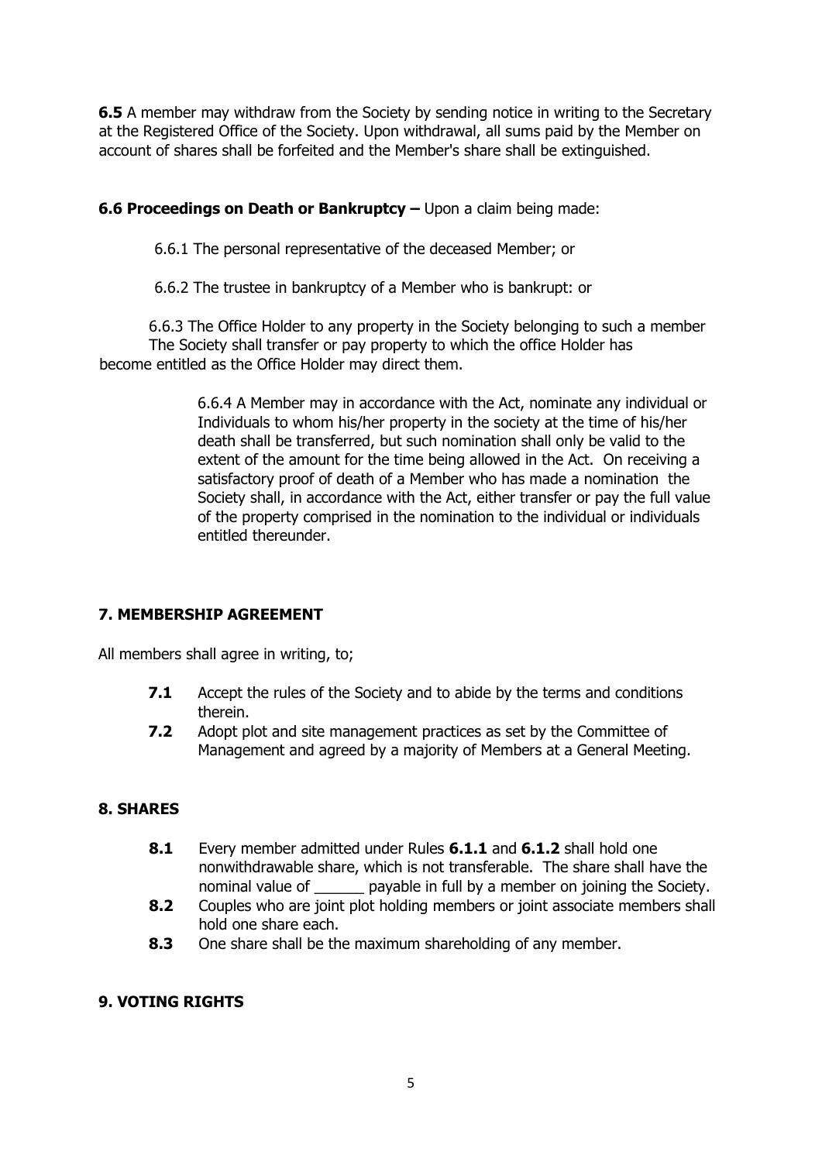**6.5** A member may withdraw from the Society by sending notice in writing to the Secretary at the Registered Office of the Society. Upon withdrawal, all sums paid by the Member on account of shares shall be forfeited and the Member's share shall be extinguished.

#### **6.6 Proceedings on Death or Bankruptcy –** Upon a claim being made:

6.6.1 The personal representative of the deceased Member; or

6.6.2 The trustee in bankruptcy of a Member who is bankrupt: or

6.6.3 The Office Holder to any property in the Society belonging to such a member The Society shall transfer or pay property to which the office Holder has become entitled as the Office Holder may direct them.

> 6.6.4 A Member may in accordance with the Act, nominate any individual or Individuals to whom his/her property in the society at the time of his/her death shall be transferred, but such nomination shall only be valid to the extent of the amount for the time being allowed in the Act. On receiving a satisfactory proof of death of a Member who has made a nomination the Society shall, in accordance with the Act, either transfer or pay the full value of the property comprised in the nomination to the individual or individuals entitled thereunder.

# **7. MEMBERSHIP AGREEMENT**

All members shall agree in writing, to;

- **7.1** Accept the rules of the Society and to abide by the terms and conditions therein.
- **7.2** Adopt plot and site management practices as set by the Committee of Management and agreed by a majority of Members at a General Meeting.

# **8. SHARES**

- **8.1** Every member admitted under Rules **6.1.1** and **6.1.2** shall hold one nonwithdrawable share, which is not transferable. The share shall have the nominal value of example in full by a member on joining the Society.
- **8.2** Couples who are joint plot holding members or joint associate members shall hold one share each.
- **8.3** One share shall be the maximum shareholding of any member.

# **9. VOTING RIGHTS**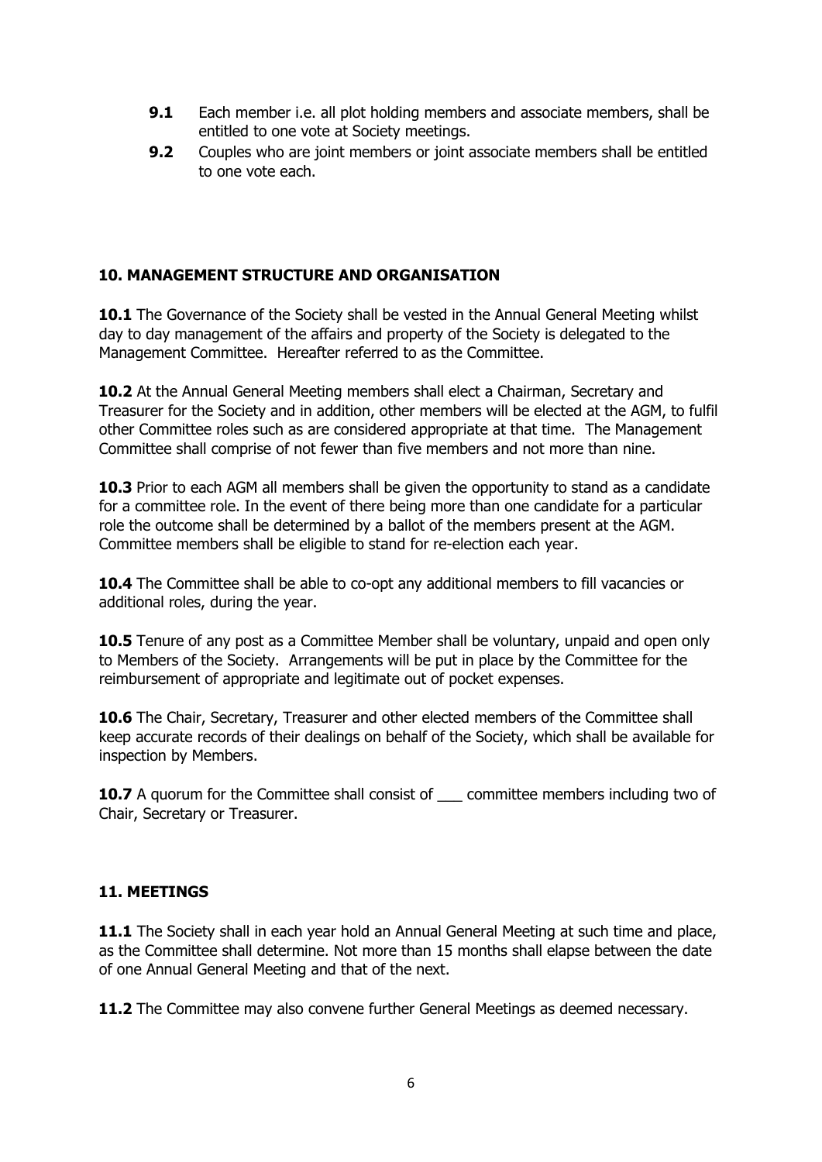- **9.1** Each member i.e. all plot holding members and associate members, shall be entitled to one vote at Society meetings.
- **9.2** Couples who are joint members or joint associate members shall be entitled to one vote each.

#### **10. MANAGEMENT STRUCTURE AND ORGANISATION**

**10.1** The Governance of the Society shall be vested in the Annual General Meeting whilst day to day management of the affairs and property of the Society is delegated to the Management Committee. Hereafter referred to as the Committee.

**10.2** At the Annual General Meeting members shall elect a Chairman, Secretary and Treasurer for the Society and in addition, other members will be elected at the AGM, to fulfil other Committee roles such as are considered appropriate at that time. The Management Committee shall comprise of not fewer than five members and not more than nine.

**10.3** Prior to each AGM all members shall be given the opportunity to stand as a candidate for a committee role. In the event of there being more than one candidate for a particular role the outcome shall be determined by a ballot of the members present at the AGM. Committee members shall be eligible to stand for re-election each year.

**10.4** The Committee shall be able to co-opt any additional members to fill vacancies or additional roles, during the year.

**10.5** Tenure of any post as a Committee Member shall be voluntary, unpaid and open only to Members of the Society. Arrangements will be put in place by the Committee for the reimbursement of appropriate and legitimate out of pocket expenses.

**10.6** The Chair, Secretary, Treasurer and other elected members of the Committee shall keep accurate records of their dealings on behalf of the Society, which shall be available for inspection by Members.

**10.7** A quorum for the Committee shall consist of committee members including two of Chair, Secretary or Treasurer.

#### **11. MEETINGS**

**11.1** The Society shall in each year hold an Annual General Meeting at such time and place, as the Committee shall determine. Not more than 15 months shall elapse between the date of one Annual General Meeting and that of the next.

**11.2** The Committee may also convene further General Meetings as deemed necessary.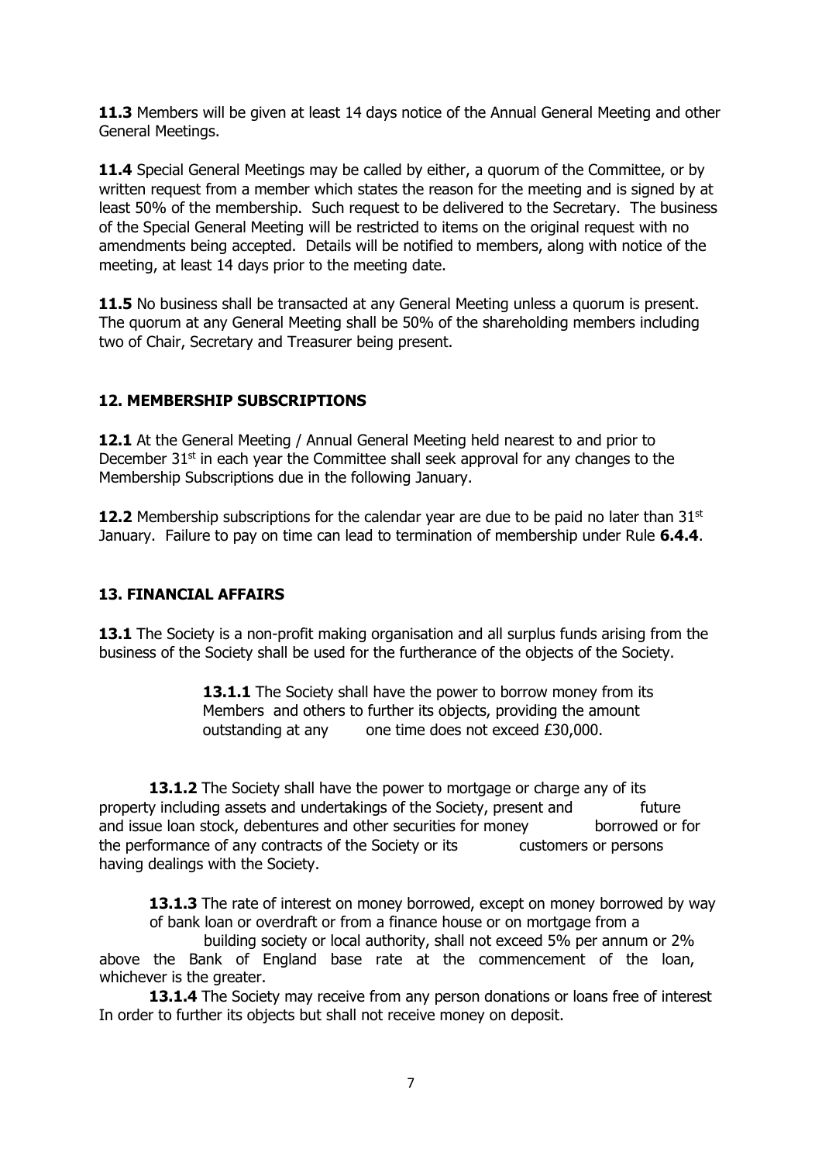**11.3** Members will be given at least 14 days notice of the Annual General Meeting and other General Meetings.

**11.4** Special General Meetings may be called by either, a quorum of the Committee, or by written request from a member which states the reason for the meeting and is signed by at least 50% of the membership. Such request to be delivered to the Secretary. The business of the Special General Meeting will be restricted to items on the original request with no amendments being accepted. Details will be notified to members, along with notice of the meeting, at least 14 days prior to the meeting date.

**11.5** No business shall be transacted at any General Meeting unless a quorum is present. The quorum at any General Meeting shall be 50% of the shareholding members including two of Chair, Secretary and Treasurer being present.

# **12. MEMBERSHIP SUBSCRIPTIONS**

**12.1** At the General Meeting / Annual General Meeting held nearest to and prior to December  $31<sup>st</sup>$  in each year the Committee shall seek approval for any changes to the Membership Subscriptions due in the following January.

**12.2** Membership subscriptions for the calendar year are due to be paid no later than 31<sup>st</sup> January. Failure to pay on time can lead to termination of membership under Rule **6.4.4**.

# **13. FINANCIAL AFFAIRS**

**13.1** The Society is a non-profit making organisation and all surplus funds arising from the business of the Society shall be used for the furtherance of the objects of the Society.

> 13.1.1 The Society shall have the power to borrow money from its Members and others to further its objects, providing the amount outstanding at any one time does not exceed £30,000.

13.1.2 The Society shall have the power to mortgage or charge any of its property including assets and undertakings of the Society, present and future and issue loan stock, debentures and other securities for money borrowed or for the performance of any contracts of the Society or its customers or persons having dealings with the Society.

**13.1.3** The rate of interest on money borrowed, except on money borrowed by way of bank loan or overdraft or from a finance house or on mortgage from a

 building society or local authority, shall not exceed 5% per annum or 2% above the Bank of England base rate at the commencement of the loan, whichever is the greater.

**13.1.4** The Society may receive from any person donations or loans free of interest In order to further its objects but shall not receive money on deposit.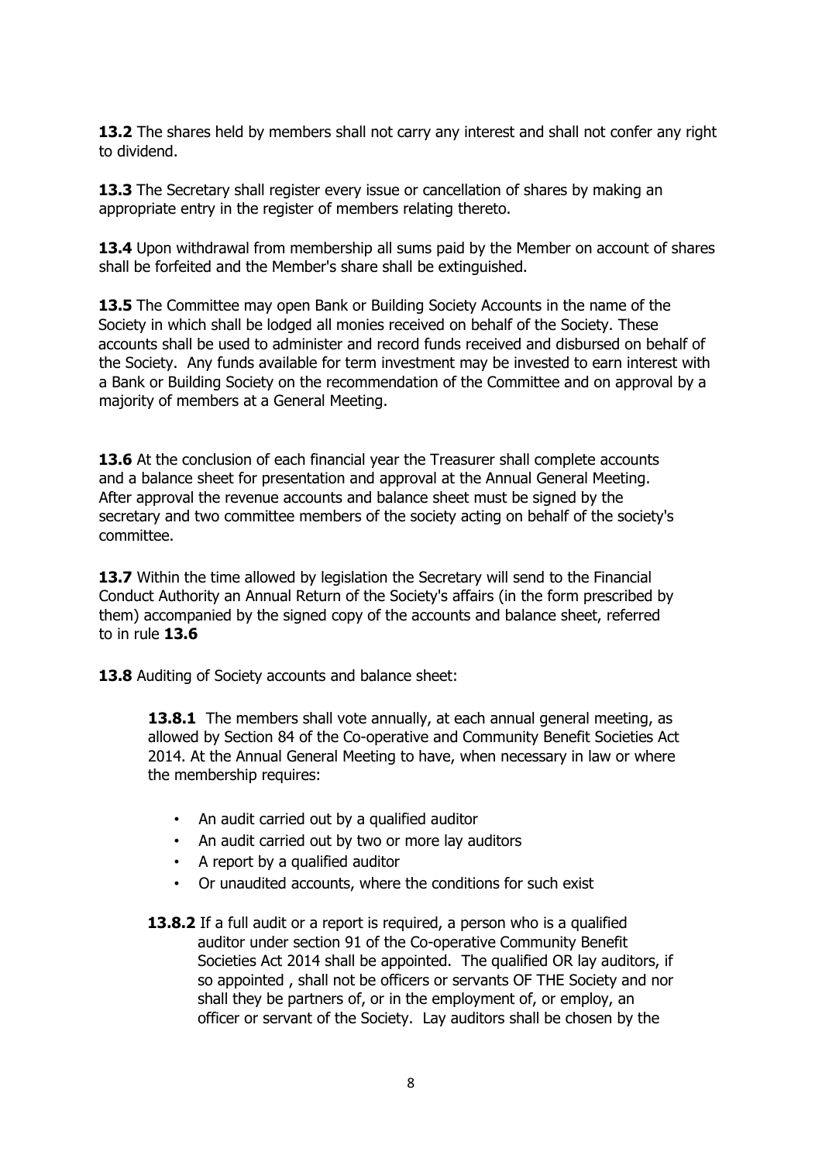**13.2** The shares held by members shall not carry any interest and shall not confer any right to dividend.

**13.3** The Secretary shall register every issue or cancellation of shares by making an appropriate entry in the register of members relating thereto.

**13.4** Upon withdrawal from membership all sums paid by the Member on account of shares shall be forfeited and the Member's share shall be extinguished.

**13.5** The Committee may open Bank or Building Society Accounts in the name of the Society in which shall be lodged all monies received on behalf of the Society. These accounts shall be used to administer and record funds received and disbursed on behalf of the Society. Any funds available for term investment may be invested to earn interest with a Bank or Building Society on the recommendation of the Committee and on approval by a majority of members at a General Meeting.

**13.6** At the conclusion of each financial year the Treasurer shall complete accounts and a balance sheet for presentation and approval at the Annual General Meeting. After approval the revenue accounts and balance sheet must be signed by the secretary and two committee members of the society acting on behalf of the society's committee.

**13.7** Within the time allowed by legislation the Secretary will send to the Financial Conduct Authority an Annual Return of the Society's affairs (in the form prescribed by them) accompanied by the signed copy of the accounts and balance sheet, referred to in rule **13.6** 

**13.8** Auditing of Society accounts and balance sheet:

**13.8.1** The members shall vote annually, at each annual general meeting, as allowed by Section 84 of the Co-operative and Community Benefit Societies Act 2014. At the Annual General Meeting to have, when necessary in law or where the membership requires:

- An audit carried out by a qualified auditor
- An audit carried out by two or more lay auditors
- A report by a qualified auditor
- Or unaudited accounts, where the conditions for such exist
- **13.8.2** If a full audit or a report is required, a person who is a qualified auditor under section 91 of the Co-operative Community Benefit Societies Act 2014 shall be appointed. The qualified OR lay auditors, if so appointed , shall not be officers or servants OF THE Society and nor shall they be partners of, or in the employment of, or employ, an officer or servant of the Society. Lay auditors shall be chosen by the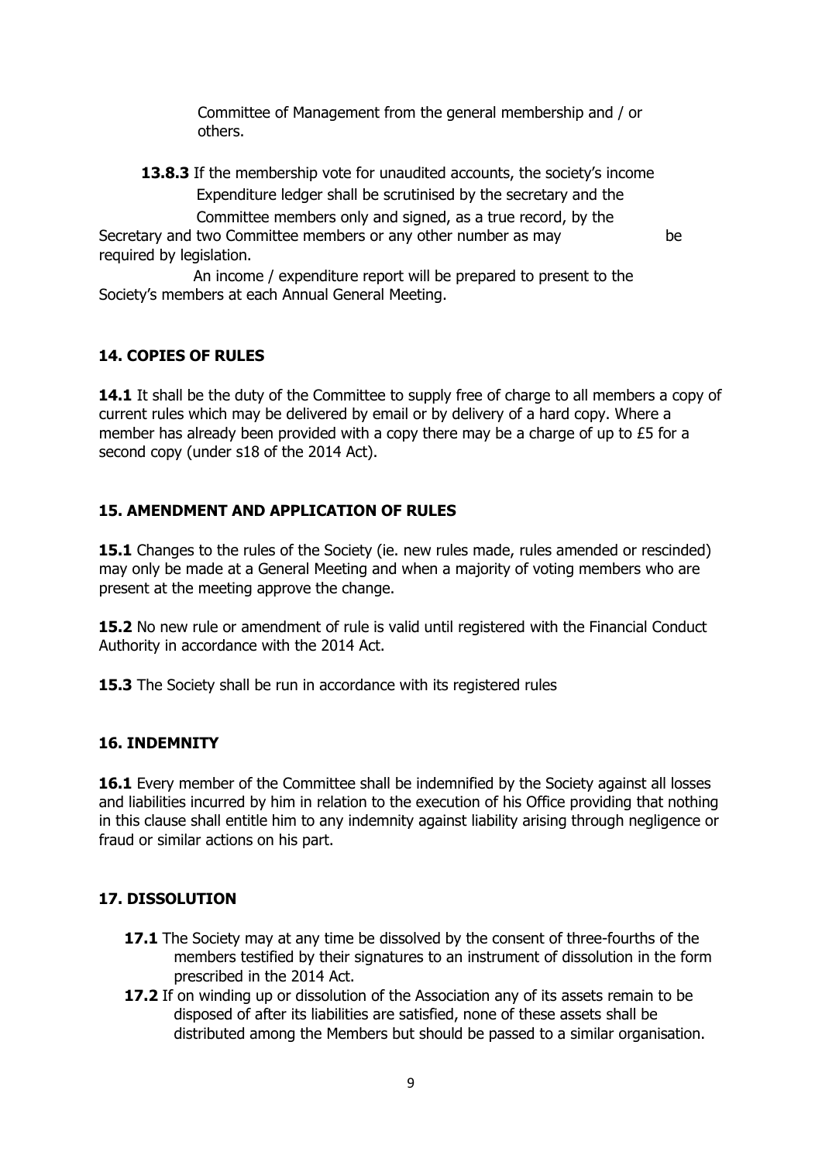Committee of Management from the general membership and / or others.

**13.8.3** If the membership vote for unaudited accounts, the society's income Expenditure ledger shall be scrutinised by the secretary and the Committee members only and signed, as a true record, by the Secretary and two Committee members or any other number as may be required by legislation.

 An income / expenditure report will be prepared to present to the Society's members at each Annual General Meeting.

#### **14. COPIES OF RULES**

14.1 It shall be the duty of the Committee to supply free of charge to all members a copy of current rules which may be delivered by email or by delivery of a hard copy. Where a member has already been provided with a copy there may be a charge of up to £5 for a second copy (under s18 of the 2014 Act).

#### **15. AMENDMENT AND APPLICATION OF RULES**

**15.1** Changes to the rules of the Society (ie. new rules made, rules amended or rescinded) may only be made at a General Meeting and when a majority of voting members who are present at the meeting approve the change.

**15.2** No new rule or amendment of rule is valid until registered with the Financial Conduct Authority in accordance with the 2014 Act.

**15.3** The Society shall be run in accordance with its registered rules

#### **16. INDEMNITY**

**16.1** Every member of the Committee shall be indemnified by the Society against all losses and liabilities incurred by him in relation to the execution of his Office providing that nothing in this clause shall entitle him to any indemnity against liability arising through negligence or fraud or similar actions on his part.

#### **17. DISSOLUTION**

- **17.1** The Society may at any time be dissolved by the consent of three-fourths of the members testified by their signatures to an instrument of dissolution in the form prescribed in the 2014 Act.
- **17.2** If on winding up or dissolution of the Association any of its assets remain to be disposed of after its liabilities are satisfied, none of these assets shall be distributed among the Members but should be passed to a similar organisation.